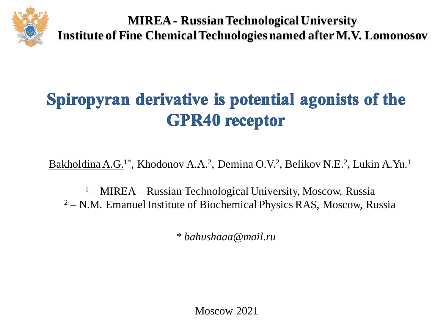

**MIREA - Russian Technological University Institute of Fine Chemical Technologies named after M.V. Lomonosov**

## Spiropyran derivative is potential agonists of the **GPR40** receptor

Bakholdina A.G.<sup>1\*</sup>, Khodonov A.A.<sup>2</sup>, Demina O.V.<sup>2</sup>, Belikov N.E.<sup>2</sup>, Lukin A.Yu.<sup>1</sup>

<sup>1</sup> – MIREA – Russian Technological University, Moscow, Russia  $2 - N.M.$  Emanuel Institute of Biochemical Physics RAS, Moscow, Russia

*\* bahushaaa@mail.ru*

Moscow 2021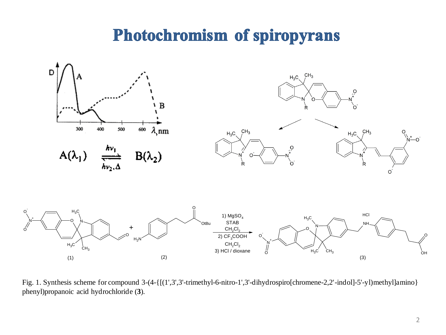## **Photochromism of spiropyrans**



Fig. 1. Synthesis scheme for compound 3-(4-{[(1',3',3'-trimethyl-6-nitro-1',3'-dihydrospiro[chromene-2,2'-indol]-5'-yl)methyl]amino} phenyl)propanoic acid hydrochloride (**3**).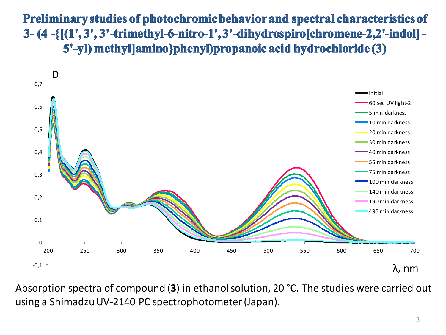Preliminary studies of photochromic behavior and spectral characteristics of 3- (4 -{[(1', 3', 3'-trimethyl-6-nitro-1', 3'-dihydrospiro[chromene-2,2'-indol] -5'-yl) methyl|amino}phenyl)propanoic acid hydrochloride (3)



Absorption spectra of compound (**3**) in ethanol solution, 20 °C. The studies were carried out using a Shimadzu UV-2140 PC spectrophotometer (Japan).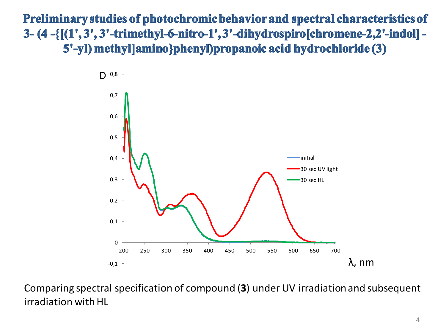Preliminary studies of photochromic behavior and spectral characteristics of 3- (4 -{[(1', 3', 3'-trimethyl-6-nitro-1', 3'-dihydrospiro[chromene-2,2'-indol] -5'-yl) methyl|amino}phenyl)propanoic acid hydrochloride (3)



Comparing spectral specification of compound (**3**) under UV irradiation and subsequent irradiation with HL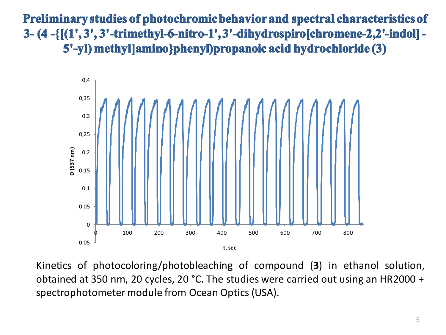Preliminary studies of photochromic behavior and spectral characteristics of 3-(4-{ $[(1', 3', 3'-trimethyl-6-nitro-1', 3'-dihydrospiro[chromene-2,2'-indol]-$ 5'-yl) methyl]amino}phenyl)propanoic acid hydrochloride (3)



Kinetics of photocoloring/photobleaching of compound (**3**) in ethanol solution, obtained at 350 nm, 20 cycles, 20 °C. The studies were carried out using an HR2000 + spectrophotometer module from Ocean Optics (USA).